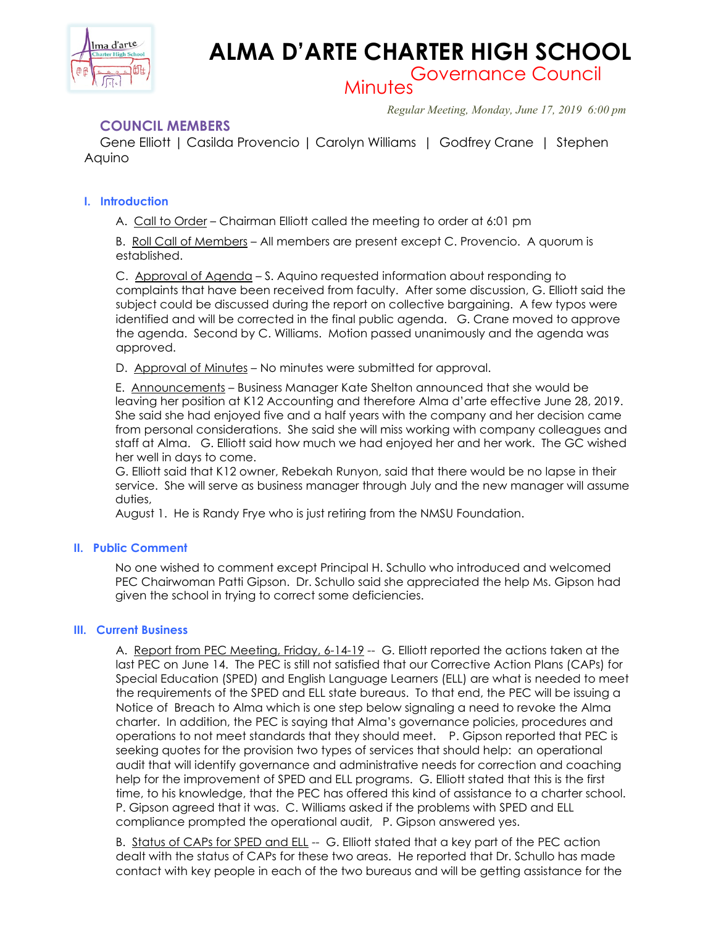

# **ALMA D'ARTE CHARTER HIGH SCHOOL**

Governance Council Minutes

*Regular Meeting, Monday, June 17, 2019 6:00 pm*

## **COUNCIL MEMBERS**

 Gene Elliott | Casilda Provencio | Carolyn Williams | Godfrey Crane | Stephen Aquino

## **I. Introduction**

A. Call to Order – Chairman Elliott called the meeting to order at 6:01 pm

B. Roll Call of Members – All members are present except C. Provencio. A quorum is established.

C. Approval of Agenda – S. Aquino requested information about responding to complaints that have been received from faculty. After some discussion, G. Elliott said the subject could be discussed during the report on collective bargaining. A few typos were identified and will be corrected in the final public agenda. G. Crane moved to approve the agenda. Second by C. Williams. Motion passed unanimously and the agenda was approved.

D. Approval of Minutes – No minutes were submitted for approval.

E. Announcements – Business Manager Kate Shelton announced that she would be leaving her position at K12 Accounting and therefore Alma d'arte effective June 28, 2019. She said she had enjoyed five and a half years with the company and her decision came from personal considerations. She said she will miss working with company colleagues and staff at Alma. G. Elliott said how much we had enjoyed her and her work. The GC wished her well in days to come.

G. Elliott said that K12 owner, Rebekah Runyon, said that there would be no lapse in their service. She will serve as business manager through July and the new manager will assume duties,

August 1. He is Randy Frye who is just retiring from the NMSU Foundation.

## **II. Public Comment**

No one wished to comment except Principal H. Schullo who introduced and welcomed PEC Chairwoman Patti Gipson. Dr. Schullo said she appreciated the help Ms. Gipson had given the school in trying to correct some deficiencies.

## **III. Current Business**

A. Report from PEC Meeting, Friday, 6-14-19 -- G. Elliott reported the actions taken at the last PEC on June 14. The PEC is still not satisfied that our Corrective Action Plans (CAPs) for Special Education (SPED) and English Language Learners (ELL) are what is needed to meet the requirements of the SPED and ELL state bureaus. To that end, the PEC will be issuing a Notice of Breach to Alma which is one step below signaling a need to revoke the Alma charter. In addition, the PEC is saying that Alma's governance policies, procedures and operations to not meet standards that they should meet. P. Gipson reported that PEC is seeking quotes for the provision two types of services that should help: an operational audit that will identify governance and administrative needs for correction and coaching help for the improvement of SPED and ELL programs. G. Elliott stated that this is the first time, to his knowledge, that the PEC has offered this kind of assistance to a charter school. P. Gipson agreed that it was. C. Williams asked if the problems with SPED and ELL compliance prompted the operational audit, P. Gipson answered yes.

B. Status of CAPs for SPED and ELL -- G. Elliott stated that a key part of the PEC action dealt with the status of CAPs for these two areas. He reported that Dr. Schullo has made contact with key people in each of the two bureaus and will be getting assistance for the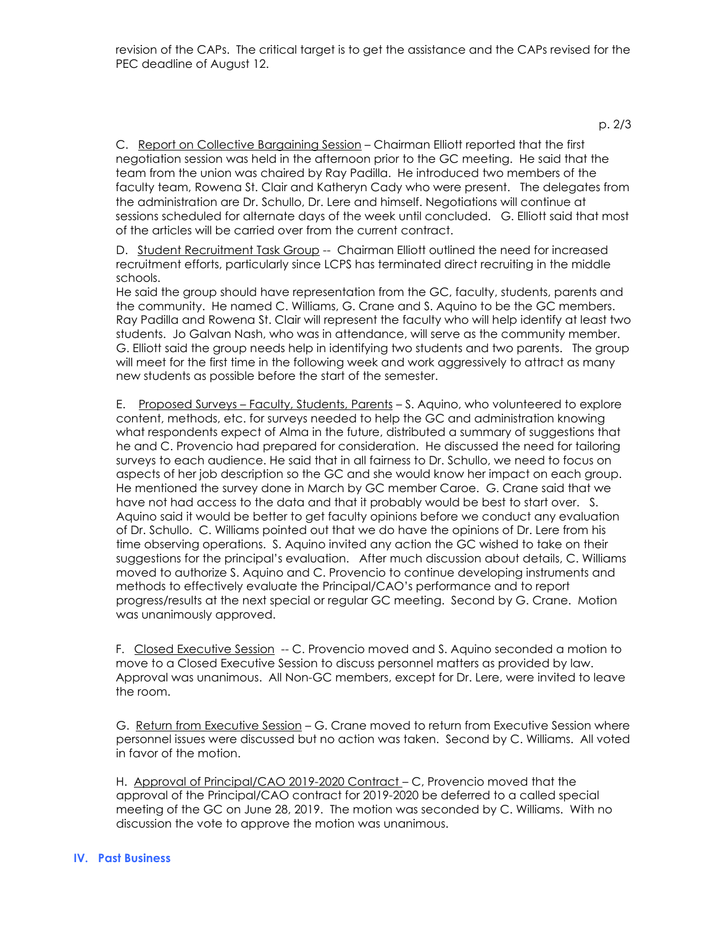p. 2/3

C. Report on Collective Bargaining Session – Chairman Elliott reported that the first negotiation session was held in the afternoon prior to the GC meeting. He said that the team from the union was chaired by Ray Padilla. He introduced two members of the faculty team, Rowena St. Clair and Katheryn Cady who were present. The delegates from the administration are Dr. Schullo, Dr. Lere and himself. Negotiations will continue at sessions scheduled for alternate days of the week until concluded. G. Elliott said that most of the articles will be carried over from the current contract.

D. Student Recruitment Task Group -- Chairman Elliott outlined the need for increased recruitment efforts, particularly since LCPS has terminated direct recruiting in the middle schools.

He said the group should have representation from the GC, faculty, students, parents and the community. He named C. Williams, G. Crane and S. Aquino to be the GC members. Ray Padilla and Rowena St. Clair will represent the faculty who will help identify at least two students. Jo Galvan Nash, who was in attendance, will serve as the community member. G. Elliott said the group needs help in identifying two students and two parents. The group will meet for the first time in the following week and work aggressively to attract as many new students as possible before the start of the semester.

E. Proposed Surveys – Faculty, Students, Parents – S. Aquino, who volunteered to explore content, methods, etc. for surveys needed to help the GC and administration knowing what respondents expect of Alma in the future, distributed a summary of suggestions that he and C. Provencio had prepared for consideration. He discussed the need for tailoring surveys to each audience. He said that in all fairness to Dr. Schullo, we need to focus on aspects of her job description so the GC and she would know her impact on each group. He mentioned the survey done in March by GC member Caroe. G. Crane said that we have not had access to the data and that it probably would be best to start over. S. Aquino said it would be better to get faculty opinions before we conduct any evaluation of Dr. Schullo. C. Williams pointed out that we do have the opinions of Dr. Lere from his time observing operations. S. Aquino invited any action the GC wished to take on their suggestions for the principal's evaluation. After much discussion about details, C. Williams moved to authorize S. Aquino and C. Provencio to continue developing instruments and methods to effectively evaluate the Principal/CAO's performance and to report progress/results at the next special or regular GC meeting. Second by G. Crane. Motion was unanimously approved.

F. Closed Executive Session -- C. Provencio moved and S. Aquino seconded a motion to move to a Closed Executive Session to discuss personnel matters as provided by law. Approval was unanimous. All Non-GC members, except for Dr. Lere, were invited to leave the room.

G. Return from Executive Session - G. Crane moved to return from Executive Session where personnel issues were discussed but no action was taken. Second by C. Williams. All voted in favor of the motion.

H. Approval of Principal/CAO 2019-2020 Contract – C, Provencio moved that the approval of the Principal/CAO contract for 2019-2020 be deferred to a called special meeting of the GC on June 28, 2019. The motion was seconded by C. Williams. With no discussion the vote to approve the motion was unanimous.

## **IV. Past Business**